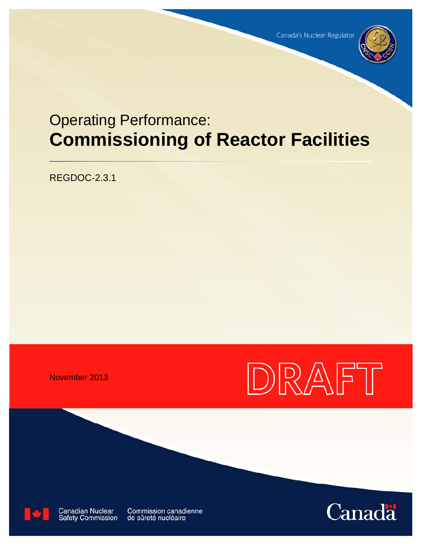

# Operating Performance: **Commissioning of Reactor Facilities**

REGDOC-2.3.1

November 2013





**Canadian Nuclear Safety Commission**  **Commission canadienne** de sûreté nucléaire

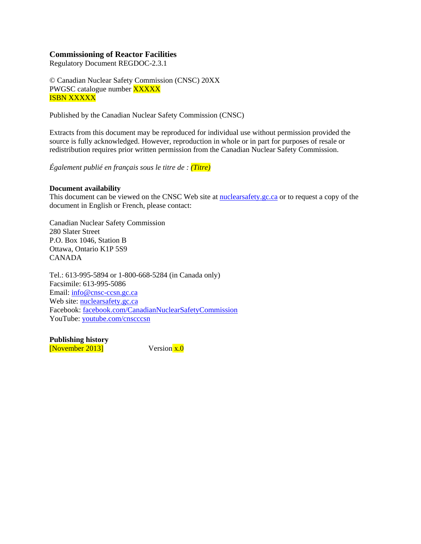### **Commissioning of Reactor Facilities**

Regulatory Document REGDOC-2.3.1

© Canadian Nuclear Safety Commission (CNSC) 20XX PWGSC catalogue number **XXXXX** ISBN XXXXX

Published by the Canadian Nuclear Safety Commission (CNSC)

Extracts from this document may be reproduced for individual use without permission provided the source is fully acknowledged. However, reproduction in whole or in part for purposes of resale or redistribution requires prior written permission from the Canadian Nuclear Safety Commission.

*Également publié en français sous le titre de : (Titre)* 

#### **Document availability**

This document can be viewed on the CNSC Web site at [nuclearsafety.gc.ca](http://www.nuclearsafety.gc.ca/) or to request a copy of the document in English or French, please contact:

Canadian Nuclear Safety Commission 280 Slater Street P.O. Box 1046, Station B Ottawa, Ontario K1P 5S9 CANADA

Tel.: 613-995-5894 or 1-800-668-5284 (in Canada only) Facsimile: 613-995-5086 Email: [info@cnsc-ccsn.gc.ca](mailto:info@cnsc-ccsn.gc.ca) Web site: [nuclearsafety.gc.ca](http://www.nuclearsafety.gc.ca/) Facebook: [facebook.com/CanadianNuclearSafetyCommission](http://www.facebook.com/CanadianNuclearSafetyCommission) YouTube: [youtube.com/cnscccsn](http://www.youtube.com/cnscccsn)

**Publishing history**  [November 2013] Version  $\overline{x,0}$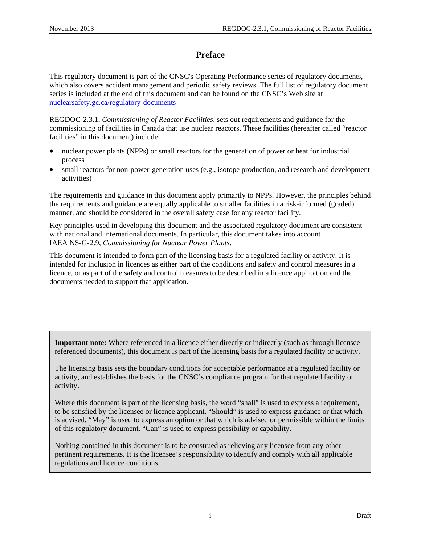# **Preface**

This regulatory document is part of the CNSC's Operating Performance series of regulatory documents, which also covers accident management and periodic safety reviews. The full list of regulatory document series is included at the end of this document and can be found on the CNSC's Web site at [nuclearsafety.gc.ca/regulatory-documents](http://www.nuclearsafety.gc.ca/regulatory-documents)

REGDOC-2.3.1, *Commissioning of Reactor Facilities*, sets out requirements and guidance for the commissioning of facilities in Canada that use nuclear reactors. These facilities (hereafter called "reactor facilities" in this document) include:

- nuclear power plants (NPPs) or small reactors for the generation of power or heat for industrial process
- small reactors for non-power-generation uses (e.g., isotope production, and research and development activities)

The requirements and guidance in this document apply primarily to NPPs. However, the principles behind the requirements and guidance are equally applicable to smaller facilities in a risk-informed (graded) manner, and should be considered in the overall safety case for any reactor facility.

Key principles used in developing this document and the associated regulatory document are consistent with national and international documents. In particular, this document takes into account IAEA NS-G-2.9, *Commissioning for Nuclear Power Plants*.

This document is intended to form part of the licensing basis for a regulated facility or activity. It is intended for inclusion in licences as either part of the conditions and safety and control measures in a licence, or as part of the safety and control measures to be described in a licence application and the documents needed to support that application.

**Important note:** Where referenced in a licence either directly or indirectly (such as through licenseereferenced documents), this document is part of the licensing basis for a regulated facility or activity.

The licensing basis sets the boundary conditions for acceptable performance at a regulated facility or activity, and establishes the basis for the CNSC's compliance program for that regulated facility or activity.

Where this document is part of the licensing basis, the word "shall" is used to express a requirement, to be satisfied by the licensee or licence applicant. "Should" is used to express guidance or that which is advised. "May" is used to express an option or that which is advised or permissible within the limits of this regulatory document. "Can" is used to express possibility or capability.

Nothing contained in this document is to be construed as relieving any licensee from any other pertinent requirements. It is the licensee's responsibility to identify and comply with all applicable regulations and licence conditions.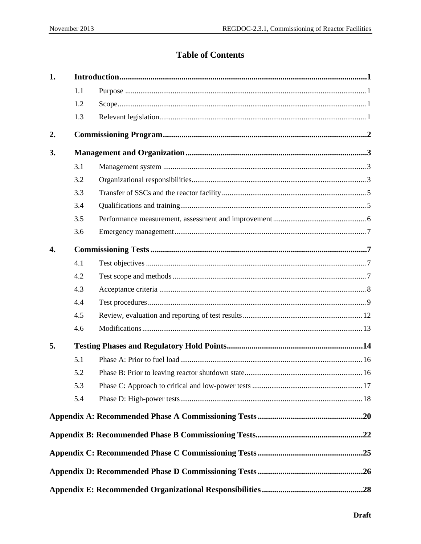# **Table of Contents**

| 1.               |     |  |  |
|------------------|-----|--|--|
|                  | 1.1 |  |  |
|                  | 1.2 |  |  |
|                  | 1.3 |  |  |
| 2.               |     |  |  |
| 3.               |     |  |  |
|                  | 3.1 |  |  |
|                  | 3.2 |  |  |
|                  | 3.3 |  |  |
|                  | 3.4 |  |  |
|                  | 3.5 |  |  |
|                  | 3.6 |  |  |
| $\overline{4}$ . |     |  |  |
|                  | 4.1 |  |  |
|                  | 4.2 |  |  |
|                  | 4.3 |  |  |
|                  | 4.4 |  |  |
|                  | 4.5 |  |  |
|                  | 4.6 |  |  |
| 5.               |     |  |  |
|                  | 5.1 |  |  |
|                  | 5.2 |  |  |
|                  | 5.3 |  |  |
|                  | 5.4 |  |  |
|                  |     |  |  |
|                  |     |  |  |
|                  |     |  |  |
|                  |     |  |  |
|                  |     |  |  |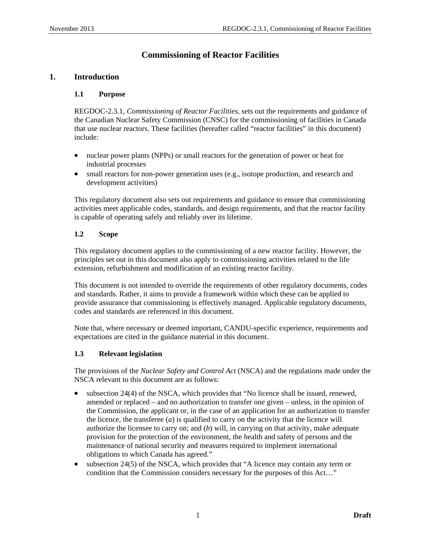# **Commissioning of Reactor Facilities**

### <span id="page-5-0"></span>**1. Introduction**

### **1.1 Purpose**

REGDOC-2.3.1, *Commissioning of Reactor Facilities*, sets out the requirements and guidance of the Canadian Nuclear Safety Commission (CNSC) for the commissioning of facilities in Canada that use nuclear reactors. These facilities (hereafter called "reactor facilities" in this document) include:

- nuclear power plants (NPPs) or small reactors for the generation of power or heat for industrial processes
- small reactors for non-power generation uses (e.g., isotope production, and research and development activities)

This regulatory document also sets out requirements and guidance to ensure that commissioning activities meet applicable codes, standards, and design requirements, and that the reactor facility is capable of operating safely and reliably over its lifetime.

### **1.2 Scope**

This regulatory document applies to the commissioning of a new reactor facility. However, the principles set out in this document also apply to commissioning activities related to the life extension, refurbishment and modification of an existing reactor facility.

This document is not intended to override the requirements of other regulatory documents, codes and standards. Rather, it aims to provide a framework within which these can be applied to provide assurance that commissioning is effectively managed. Applicable regulatory documents, codes and standards are referenced in this document.

Note that, where necessary or deemed important, CANDU-specific experience, requirements and expectations are cited in the guidance material in this document.

### **1.3 Relevant legislation**

The provisions of the *Nuclear Safety and Control Act* (NSCA) and the regulations made under the NSCA relevant to this document are as follows:

- subsection 24(4) of the NSCA, which provides that "No licence shall be issued, renewed, amended or replaced – and no authorization to transfer one given – unless, in the opinion of the Commission, the applicant or, in the case of an application for an authorization to transfer the licence, the transferee (*a*) is qualified to carry on the activity that the licence will authorize the licensee to carry on; and (*b*) will, in carrying on that activity, make adequate provision for the protection of the environment, the health and safety of persons and the maintenance of national security and measures required to implement international obligations to which Canada has agreed."
- subsection 24(5) of the NSCA, which provides that "A licence may contain any term or condition that the Commission considers necessary for the purposes of this Act…"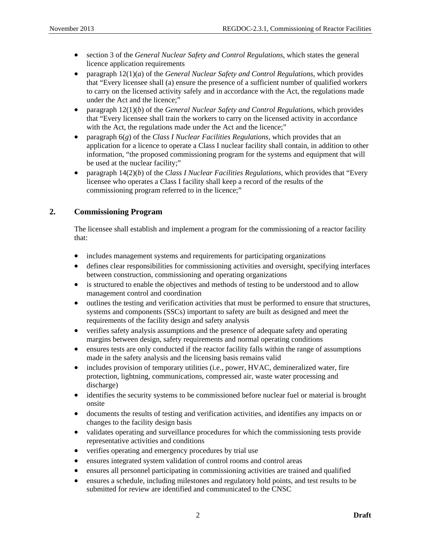- <span id="page-6-0"></span>• section 3 of the *General Nuclear Safety and Control Regulations*, which states the general licence application requirements
- paragraph 12(1)(*a*) of the *General Nuclear Safety and Control Regulations*, which provides that "Every licensee shall (a) ensure the presence of a sufficient number of qualified workers to carry on the licensed activity safely and in accordance with the Act, the regulations made under the Act and the licence;"
- paragraph 12(1)(*b*) of the *General Nuclear Safety and Control Regulations*, which provides that "Every licensee shall train the workers to carry on the licensed activity in accordance with the Act, the regulations made under the Act and the licence;"
- paragraph 6(*g*) of the *Class I Nuclear Facilities Regulations*, which provides that an application for a licence to operate a Class I nuclear facility shall contain, in addition to other information, "the proposed commissioning program for the systems and equipment that will be used at the nuclear facility;"
- paragraph 14(2)(*b*) of the *Class I Nuclear Facilities Regulations*, which provides that "Every licensee who operates a Class I facility shall keep a record of the results of the commissioning program referred to in the licence;"

### **2. Commissioning Program**

The licensee shall establish and implement a program for the commissioning of a reactor facility that:

- includes management systems and requirements for participating organizations
- defines clear responsibilities for commissioning activities and oversight, specifying interfaces between construction, commissioning and operating organizations
- is structured to enable the objectives and methods of testing to be understood and to allow management control and coordination
- outlines the testing and verification activities that must be performed to ensure that structures, systems and components (SSCs) important to safety are built as designed and meet the requirements of the facility design and safety analysis
- verifies safety analysis assumptions and the presence of adequate safety and operating margins between design, safety requirements and normal operating conditions
- ensures tests are only conducted if the reactor facility falls within the range of assumptions made in the safety analysis and the licensing basis remains valid
- includes provision of temporary utilities (i.e., power, HVAC, demineralized water, fire protection, lightning, communications, compressed air, waste water processing and discharge)
- identifies the security systems to be commissioned before nuclear fuel or material is brought onsite
- documents the results of testing and verification activities, and identifies any impacts on or changes to the facility design basis
- validates operating and surveillance procedures for which the commissioning tests provide representative activities and conditions
- verifies operating and emergency procedures by trial use
- ensures integrated system validation of control rooms and control areas
- ensures all personnel participating in commissioning activities are trained and qualified
- ensures a schedule, including milestones and regulatory hold points, and test results to be submitted for review are identified and communicated to the CNSC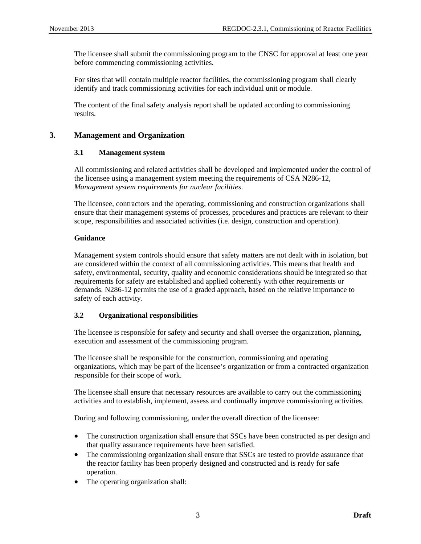<span id="page-7-0"></span>The licensee shall submit the commissioning program to the CNSC for approval at least one year before commencing commissioning activities.

For sites that will contain multiple reactor facilities, the commissioning program shall clearly identify and track commissioning activities for each individual unit or module.

The content of the final safety analysis report shall be updated according to commissioning results.

### **3. Management and Organization**

### **3.1 Management system**

All commissioning and related activities shall be developed and implemented under the control of the licensee using a management system meeting the requirements of CSA N286-12, *Management system requirements for nuclear facilities*.

The licensee, contractors and the operating, commissioning and construction organizations shall ensure that their management systems of processes, procedures and practices are relevant to their scope, responsibilities and associated activities (i.e. design, construction and operation).

### **Guidance**

Management system controls should ensure that safety matters are not dealt with in isolation, but are considered within the context of all commissioning activities. This means that health and safety, environmental, security, quality and economic considerations should be integrated so that requirements for safety are established and applied coherently with other requirements or demands. N286-12 permits the use of a graded approach, based on the relative importance to safety of each activity.

### **3.2 Organizational responsibilities**

The licensee is responsible for safety and security and shall oversee the organization, planning, execution and assessment of the commissioning program.

The licensee shall be responsible for the construction, commissioning and operating organizations, which may be part of the licensee's organization or from a contracted organization responsible for their scope of work.

The licensee shall ensure that necessary resources are available to carry out the commissioning activities and to establish, implement, assess and continually improve commissioning activities.

During and following commissioning, under the overall direction of the licensee:

- The construction organization shall ensure that SSCs have been constructed as per design and that quality assurance requirements have been satisfied.
- The commissioning organization shall ensure that SSCs are tested to provide assurance that the reactor facility has been properly designed and constructed and is ready for safe operation.
- The operating organization shall: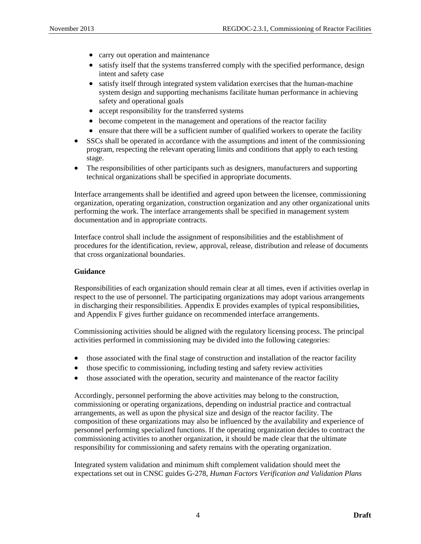- carry out operation and maintenance
- satisfy itself that the systems transferred comply with the specified performance, design intent and safety case
- satisfy itself through integrated system validation exercises that the human-machine system design and supporting mechanisms facilitate human performance in achieving safety and operational goals
- accept responsibility for the transferred systems
- become competent in the management and operations of the reactor facility
- ensure that there will be a sufficient number of qualified workers to operate the facility
- SSCs shall be operated in accordance with the assumptions and intent of the commissioning program, respecting the relevant operating limits and conditions that apply to each testing stage.
- The responsibilities of other participants such as designers, manufacturers and supporting technical organizations shall be specified in appropriate documents.

Interface arrangements shall be identified and agreed upon between the licensee, commissioning organization, operating organization, construction organization and any other organizational units performing the work. The interface arrangements shall be specified in management system documentation and in appropriate contracts.

Interface control shall include the assignment of responsibilities and the establishment of procedures for the identification, review, approval, release, distribution and release of documents that cross organizational boundaries.

### **Guidance**

Responsibilities of each organization should remain clear at all times, even if activities overlap in respect to the use of personnel. The participating organizations may adopt various arrangements in discharging their responsibilities. Appendix E provides examples of typical responsibilities, and Appendix F gives further guidance on recommended interface arrangements.

Commissioning activities should be aligned with the regulatory licensing process. The principal activities performed in commissioning may be divided into the following categories:

- those associated with the final stage of construction and installation of the reactor facility
- those specific to commissioning, including testing and safety review activities
- those associated with the operation, security and maintenance of the reactor facility

Accordingly, personnel performing the above activities may belong to the construction, commissioning or operating organizations, depending on industrial practice and contractual arrangements, as well as upon the physical size and design of the reactor facility. The composition of these organizations may also be influenced by the availability and experience of personnel performing specialized functions. If the operating organization decides to contract the commissioning activities to another organization, it should be made clear that the ultimate responsibility for commissioning and safety remains with the operating organization.

Integrated system validation and minimum shift complement validation should meet the expectations set out in CNSC guides G-278, *Human Factors Verification and Validation Plans*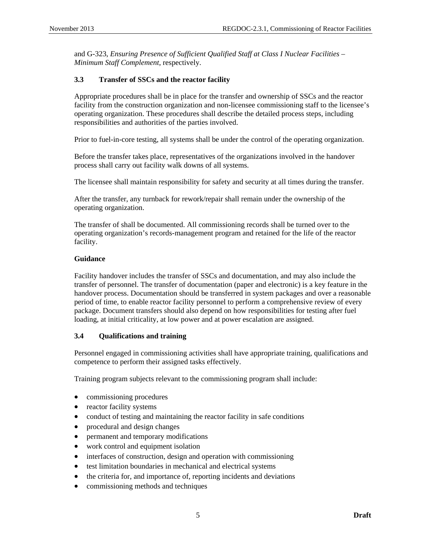<span id="page-9-0"></span>and G-323, *Ensuring Presence of Sufficient Qualified Staff at Class I Nuclear Facilities – Minimum Staff Complement*, respectively.

### **3.3 Transfer of SSCs and the reactor facility**

Appropriate procedures shall be in place for the transfer and ownership of SSCs and the reactor facility from the construction organization and non-licensee commissioning staff to the licensee's operating organization. These procedures shall describe the detailed process steps, including responsibilities and authorities of the parties involved.

Prior to fuel-in-core testing, all systems shall be under the control of the operating organization.

Before the transfer takes place, representatives of the organizations involved in the handover process shall carry out facility walk downs of all systems.

The licensee shall maintain responsibility for safety and security at all times during the transfer.

After the transfer, any turnback for rework/repair shall remain under the ownership of the operating organization.

The transfer of shall be documented. All commissioning records shall be turned over to the operating organization's records-management program and retained for the life of the reactor facility.

### **Guidance**

Facility handover includes the transfer of SSCs and documentation, and may also include the transfer of personnel. The transfer of documentation (paper and electronic) is a key feature in the handover process. Documentation should be transferred in system packages and over a reasonable period of time, to enable reactor facility personnel to perform a comprehensive review of every package. Document transfers should also depend on how responsibilities for testing after fuel loading, at initial criticality, at low power and at power escalation are assigned.

### **3.4 Qualifications and training**

Personnel engaged in commissioning activities shall have appropriate training, qualifications and competence to perform their assigned tasks effectively.

Training program subjects relevant to the commissioning program shall include:

- commissioning procedures
- reactor facility systems
- conduct of testing and maintaining the reactor facility in safe conditions
- procedural and design changes
- permanent and temporary modifications
- work control and equipment isolation
- interfaces of construction, design and operation with commissioning
- test limitation boundaries in mechanical and electrical systems
- the criteria for, and importance of, reporting incidents and deviations
- commissioning methods and techniques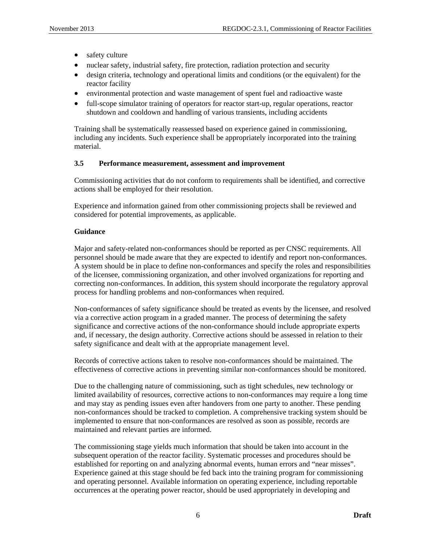- <span id="page-10-0"></span>• safety culture
- nuclear safety, industrial safety, fire protection, radiation protection and security
- design criteria, technology and operational limits and conditions (or the equivalent) for the reactor facility
- environmental protection and waste management of spent fuel and radioactive waste
- full-scope simulator training of operators for reactor start-up, regular operations, reactor shutdown and cooldown and handling of various transients, including accidents

Training shall be systematically reassessed based on experience gained in commissioning, including any incidents. Such experience shall be appropriately incorporated into the training material.

### **3.5 Performance measurement, assessment and improvement**

Commissioning activities that do not conform to requirements shall be identified, and corrective actions shall be employed for their resolution.

Experience and information gained from other commissioning projects shall be reviewed and considered for potential improvements, as applicable.

### **Guidance**

Major and safety-related non-conformances should be reported as per CNSC requirements. All personnel should be made aware that they are expected to identify and report non-conformances. A system should be in place to define non-conformances and specify the roles and responsibilities of the licensee, commissioning organization, and other involved organizations for reporting and correcting non-conformances. In addition, this system should incorporate the regulatory approval process for handling problems and non-conformances when required.

Non-conformances of safety significance should be treated as events by the licensee, and resolved via a corrective action program in a graded manner. The process of determining the safety significance and corrective actions of the non-conformance should include appropriate experts and, if necessary, the design authority. Corrective actions should be assessed in relation to their safety significance and dealt with at the appropriate management level.

Records of corrective actions taken to resolve non-conformances should be maintained. The effectiveness of corrective actions in preventing similar non-conformances should be monitored.

Due to the challenging nature of commissioning, such as tight schedules, new technology or limited availability of resources, corrective actions to non-conformances may require a long time and may stay as pending issues even after handovers from one party to another. These pending non-conformances should be tracked to completion. A comprehensive tracking system should be implemented to ensure that non-conformances are resolved as soon as possible, records are maintained and relevant parties are informed.

The commissioning stage yields much information that should be taken into account in the subsequent operation of the reactor facility. Systematic processes and procedures should be established for reporting on and analyzing abnormal events, human errors and "near misses". Experience gained at this stage should be fed back into the training program for commissioning and operating personnel. Available information on operating experience, including reportable occurrences at the operating power reactor, should be used appropriately in developing and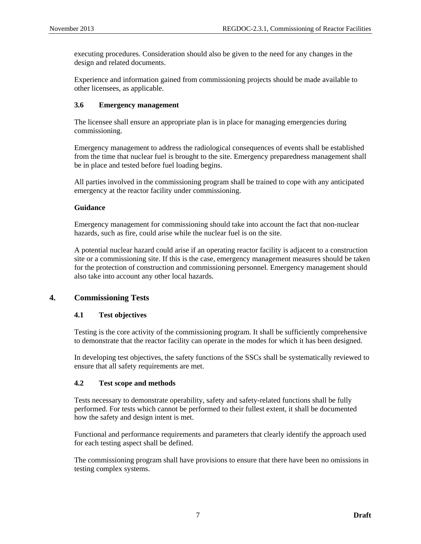<span id="page-11-0"></span>executing procedures. Consideration should also be given to the need for any changes in the design and related documents.

Experience and information gained from commissioning projects should be made available to other licensees, as applicable.

### **3.6 Emergency management**

The licensee shall ensure an appropriate plan is in place for managing emergencies during commissioning.

Emergency management to address the radiological consequences of events shall be established from the time that nuclear fuel is brought to the site. Emergency preparedness management shall be in place and tested before fuel loading begins.

All parties involved in the commissioning program shall be trained to cope with any anticipated emergency at the reactor facility under commissioning.

### **Guidance**

Emergency management for commissioning should take into account the fact that non-nuclear hazards, such as fire, could arise while the nuclear fuel is on the site.

A potential nuclear hazard could arise if an operating reactor facility is adjacent to a construction site or a commissioning site. If this is the case, emergency management measures should be taken for the protection of construction and commissioning personnel. Emergency management should also take into account any other local hazards.

### **4. Commissioning Tests**

### **4.1 Test objectives**

Testing is the core activity of the commissioning program. It shall be sufficiently comprehensive to demonstrate that the reactor facility can operate in the modes for which it has been designed.

In developing test objectives, the safety functions of the SSCs shall be systematically reviewed to ensure that all safety requirements are met.

### **4.2 Test scope and methods**

Tests necessary to demonstrate operability, safety and safety-related functions shall be fully performed. For tests which cannot be performed to their fullest extent, it shall be documented how the safety and design intent is met.

Functional and performance requirements and parameters that clearly identify the approach used for each testing aspect shall be defined.

The commissioning program shall have provisions to ensure that there have been no omissions in testing complex systems.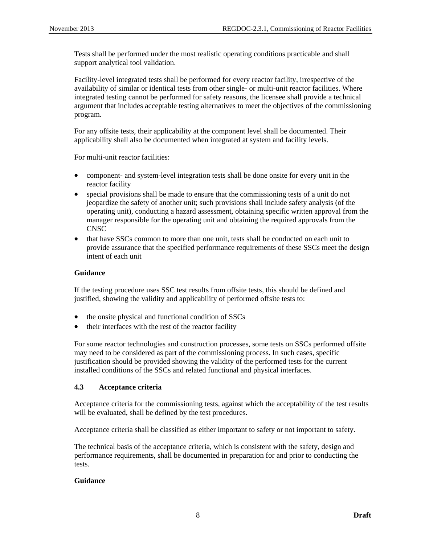<span id="page-12-0"></span>Tests shall be performed under the most realistic operating conditions practicable and shall support analytical tool validation.

Facility-level integrated tests shall be performed for every reactor facility, irrespective of the availability of similar or identical tests from other single- or multi-unit reactor facilities. Where integrated testing cannot be performed for safety reasons, the licensee shall provide a technical argument that includes acceptable testing alternatives to meet the objectives of the commissioning program.

For any offsite tests, their applicability at the component level shall be documented. Their applicability shall also be documented when integrated at system and facility levels.

For multi-unit reactor facilities:

- component- and system-level integration tests shall be done onsite for every unit in the reactor facility
- special provisions shall be made to ensure that the commissioning tests of a unit do not jeopardize the safety of another unit; such provisions shall include safety analysis (of the operating unit), conducting a hazard assessment, obtaining specific written approval from the manager responsible for the operating unit and obtaining the required approvals from the CNSC
- that have SSCs common to more than one unit, tests shall be conducted on each unit to provide assurance that the specified performance requirements of these SSCs meet the design intent of each unit

### **Guidance**

If the testing procedure uses SSC test results from offsite tests, this should be defined and justified, showing the validity and applicability of performed offsite tests to:

- the onsite physical and functional condition of SSCs
- their interfaces with the rest of the reactor facility

For some reactor technologies and construction processes, some tests on SSCs performed offsite may need to be considered as part of the commissioning process. In such cases, specific justification should be provided showing the validity of the performed tests for the current installed conditions of the SSCs and related functional and physical interfaces.

### **4.3 Acceptance criteria**

Acceptance criteria for the commissioning tests, against which the acceptability of the test results will be evaluated, shall be defined by the test procedures.

Acceptance criteria shall be classified as either important to safety or not important to safety.

The technical basis of the acceptance criteria, which is consistent with the safety, design and performance requirements, shall be documented in preparation for and prior to conducting the tests.

### **Guidance**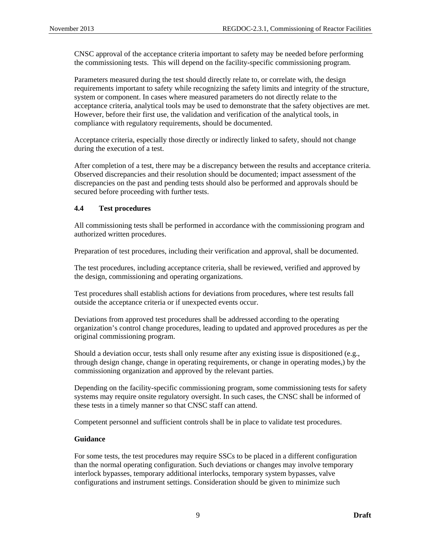<span id="page-13-0"></span>CNSC approval of the acceptance criteria important to safety may be needed before performing the commissioning tests. This will depend on the facility-specific commissioning program.

Parameters measured during the test should directly relate to, or correlate with, the design requirements important to safety while recognizing the safety limits and integrity of the structure, system or component. In cases where measured parameters do not directly relate to the acceptance criteria, analytical tools may be used to demonstrate that the safety objectives are met. However, before their first use, the validation and verification of the analytical tools, in compliance with regulatory requirements, should be documented.

Acceptance criteria, especially those directly or indirectly linked to safety, should not change during the execution of a test.

After completion of a test, there may be a discrepancy between the results and acceptance criteria. Observed discrepancies and their resolution should be documented; impact assessment of the discrepancies on the past and pending tests should also be performed and approvals should be secured before proceeding with further tests.

### **4.4 Test procedures**

All commissioning tests shall be performed in accordance with the commissioning program and authorized written procedures.

Preparation of test procedures, including their verification and approval, shall be documented.

The test procedures, including acceptance criteria, shall be reviewed, verified and approved by the design, commissioning and operating organizations.

Test procedures shall establish actions for deviations from procedures, where test results fall outside the acceptance criteria or if unexpected events occur.

Deviations from approved test procedures shall be addressed according to the operating organization's control change procedures, leading to updated and approved procedures as per the original commissioning program.

Should a deviation occur, tests shall only resume after any existing issue is dispositioned (e.g., through design change, change in operating requirements, or change in operating modes,) by the commissioning organization and approved by the relevant parties.

Depending on the facility-specific commissioning program, some commissioning tests for safety systems may require onsite regulatory oversight. In such cases, the CNSC shall be informed of these tests in a timely manner so that CNSC staff can attend.

Competent personnel and sufficient controls shall be in place to validate test procedures.

### **Guidance**

For some tests, the test procedures may require SSCs to be placed in a different configuration than the normal operating configuration. Such deviations or changes may involve temporary interlock bypasses, temporary additional interlocks, temporary system bypasses, valve configurations and instrument settings. Consideration should be given to minimize such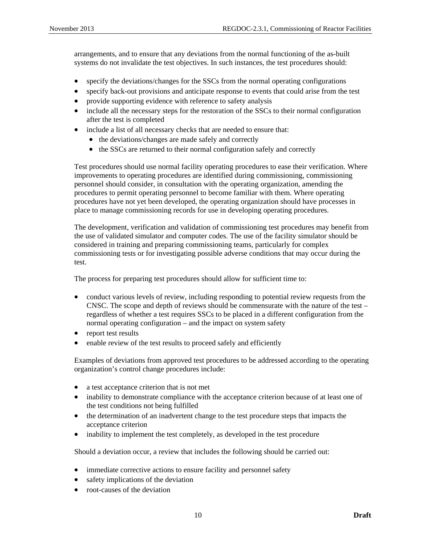arrangements, and to ensure that any deviations from the normal functioning of the as-built systems do not invalidate the test objectives. In such instances, the test procedures should:

- specify the deviations/changes for the SSCs from the normal operating configurations
- specify back-out provisions and anticipate response to events that could arise from the test
- provide supporting evidence with reference to safety analysis
- include all the necessary steps for the restoration of the SSCs to their normal configuration after the test is completed
- include a list of all necessary checks that are needed to ensure that:
	- the deviations/changes are made safely and correctly
	- the SSCs are returned to their normal configuration safely and correctly

Test procedures should use normal facility operating procedures to ease their verification. Where improvements to operating procedures are identified during commissioning, commissioning personnel should consider, in consultation with the operating organization, amending the procedures to permit operating personnel to become familiar with them. Where operating procedures have not yet been developed, the operating organization should have processes in place to manage commissioning records for use in developing operating procedures.

The development, verification and validation of commissioning test procedures may benefit from the use of validated simulator and computer codes. The use of the facility simulator should be considered in training and preparing commissioning teams, particularly for complex commissioning tests or for investigating possible adverse conditions that may occur during the test.

The process for preparing test procedures should allow for sufficient time to:

- conduct various levels of review, including responding to potential review requests from the CNSC. The scope and depth of reviews should be commensurate with the nature of the test – regardless of whether a test requires SSCs to be placed in a different configuration from the normal operating configuration – and the impact on system safety
- report test results
- enable review of the test results to proceed safely and efficiently

Examples of deviations from approved test procedures to be addressed according to the operating organization's control change procedures include:

- a test acceptance criterion that is not met
- inability to demonstrate compliance with the acceptance criterion because of at least one of the test conditions not being fulfilled
- the determination of an inadvertent change to the test procedure steps that impacts the acceptance criterion
- inability to implement the test completely, as developed in the test procedure

Should a deviation occur, a review that includes the following should be carried out:

- immediate corrective actions to ensure facility and personnel safety
- safety implications of the deviation
- root-causes of the deviation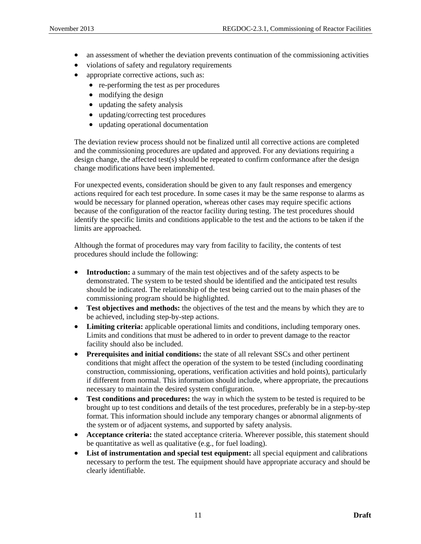- an assessment of whether the deviation prevents continuation of the commissioning activities
- violations of safety and regulatory requirements
- appropriate corrective actions, such as:
	- re-performing the test as per procedures
	- modifying the design
	- updating the safety analysis
	- updating/correcting test procedures
	- updating operational documentation

The deviation review process should not be finalized until all corrective actions are completed and the commissioning procedures are updated and approved. For any deviations requiring a design change, the affected test(s) should be repeated to confirm conformance after the design change modifications have been implemented.

For unexpected events, consideration should be given to any fault responses and emergency actions required for each test procedure. In some cases it may be the same response to alarms as would be necessary for planned operation, whereas other cases may require specific actions because of the configuration of the reactor facility during testing. The test procedures should identify the specific limits and conditions applicable to the test and the actions to be taken if the limits are approached.

Although the format of procedures may vary from facility to facility, the contents of test procedures should include the following:

- **Introduction:** a summary of the main test objectives and of the safety aspects to be demonstrated. The system to be tested should be identified and the anticipated test results should be indicated. The relationship of the test being carried out to the main phases of the commissioning program should be highlighted.
- **Test objectives and methods:** the objectives of the test and the means by which they are to be achieved, including step-by-step actions.
- **Limiting criteria:** applicable operational limits and conditions, including temporary ones. Limits and conditions that must be adhered to in order to prevent damage to the reactor facility should also be included.
- **Prerequisites and initial conditions:** the state of all relevant SSCs and other pertinent conditions that might affect the operation of the system to be tested (including coordinating construction, commissioning, operations, verification activities and hold points), particularly if different from normal. This information should include, where appropriate, the precautions necessary to maintain the desired system configuration.
- **Test conditions and procedures:** the way in which the system to be tested is required to be brought up to test conditions and details of the test procedures, preferably be in a step-by-step format. This information should include any temporary changes or abnormal alignments of the system or of adjacent systems, and supported by safety analysis.
- **Acceptance criteria:** the stated acceptance criteria. Wherever possible, this statement should be quantitative as well as qualitative (e.g., for fuel loading).
- **List of instrumentation and special test equipment:** all special equipment and calibrations necessary to perform the test. The equipment should have appropriate accuracy and should be clearly identifiable.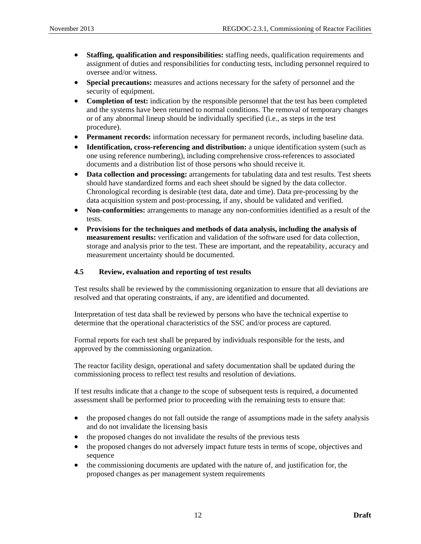- <span id="page-16-0"></span>• **Staffing, qualification and responsibilities:** staffing needs, qualification requirements and assignment of duties and responsibilities for conducting tests, including personnel required to oversee and/or witness.
- **Special precautions:** measures and actions necessary for the safety of personnel and the security of equipment.
- **Completion of test:** indication by the responsible personnel that the test has been completed and the systems have been returned to normal conditions. The removal of temporary changes or of any abnormal lineup should be individually specified (i.e., as steps in the test procedure).
- **Permanent records:** information necessary for permanent records, including baseline data.
- **Identification, cross-referencing and distribution:** a unique identification system (such as one using reference numbering), including comprehensive cross-references to associated documents and a distribution list of those persons who should receive it.
- **Data collection and processing:** arrangements for tabulating data and test results. Test sheets should have standardized forms and each sheet should be signed by the data collector. Chronological recording is desirable (test data, date and time). Data pre-processing by the data acquisition system and post-processing, if any, should be validated and verified.
- **Non-conformities:** arrangements to manage any non-conformities identified as a result of the tests.
- **Provisions for the techniques and methods of data analysis, including the analysis of measurement results:** verification and validation of the software used for data collection, storage and analysis prior to the test. These are important, and the repeatability, accuracy and measurement uncertainty should be documented.

### **4.5 Review, evaluation and reporting of test results**

Test results shall be reviewed by the commissioning organization to ensure that all deviations are resolved and that operating constraints, if any, are identified and documented.

Interpretation of test data shall be reviewed by persons who have the technical expertise to determine that the operational characteristics of the SSC and/or process are captured.

Formal reports for each test shall be prepared by individuals responsible for the tests, and approved by the commissioning organization.

The reactor facility design, operational and safety documentation shall be updated during the commissioning process to reflect test results and resolution of deviations.

If test results indicate that a change to the scope of subsequent tests is required, a documented assessment shall be performed prior to proceeding with the remaining tests to ensure that:

- the proposed changes do not fall outside the range of assumptions made in the safety analysis and do not invalidate the licensing basis
- the proposed changes do not invalidate the results of the previous tests
- the proposed changes do not adversely impact future tests in terms of scope, objectives and sequence
- the commissioning documents are updated with the nature of, and justification for, the proposed changes as per management system requirements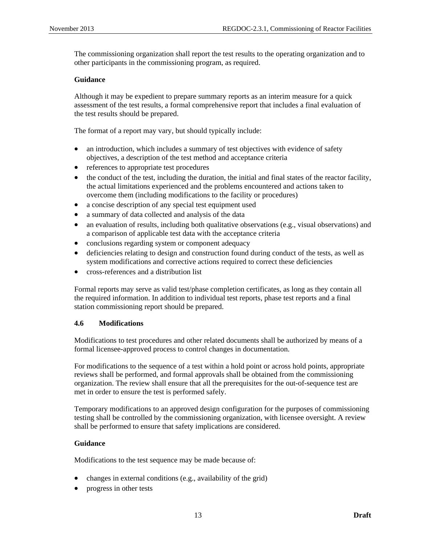<span id="page-17-0"></span>The commissioning organization shall report the test results to the operating organization and to other participants in the commissioning program, as required.

### **Guidance**

Although it may be expedient to prepare summary reports as an interim measure for a quick assessment of the test results, a formal comprehensive report that includes a final evaluation of the test results should be prepared.

The format of a report may vary, but should typically include:

- an introduction, which includes a summary of test objectives with evidence of safety objectives, a description of the test method and acceptance criteria
- references to appropriate test procedures
- the conduct of the test, including the duration, the initial and final states of the reactor facility, the actual limitations experienced and the problems encountered and actions taken to overcome them (including modifications to the facility or procedures)
- a concise description of any special test equipment used
- a summary of data collected and analysis of the data
- an evaluation of results, including both qualitative observations (e.g., visual observations) and a comparison of applicable test data with the acceptance criteria
- conclusions regarding system or component adequacy
- deficiencies relating to design and construction found during conduct of the tests, as well as system modifications and corrective actions required to correct these deficiencies
- cross-references and a distribution list

Formal reports may serve as valid test/phase completion certificates, as long as they contain all the required information. In addition to individual test reports, phase test reports and a final station commissioning report should be prepared.

### **4.6 Modifications**

Modifications to test procedures and other related documents shall be authorized by means of a formal licensee-approved process to control changes in documentation.

For modifications to the sequence of a test within a hold point or across hold points, appropriate reviews shall be performed, and formal approvals shall be obtained from the commissioning organization. The review shall ensure that all the prerequisites for the out-of-sequence test are met in order to ensure the test is performed safely.

Temporary modifications to an approved design configuration for the purposes of commissioning testing shall be controlled by the commissioning organization, with licensee oversight. A review shall be performed to ensure that safety implications are considered.

### **Guidance**

Modifications to the test sequence may be made because of:

- changes in external conditions (e.g., availability of the grid)
- progress in other tests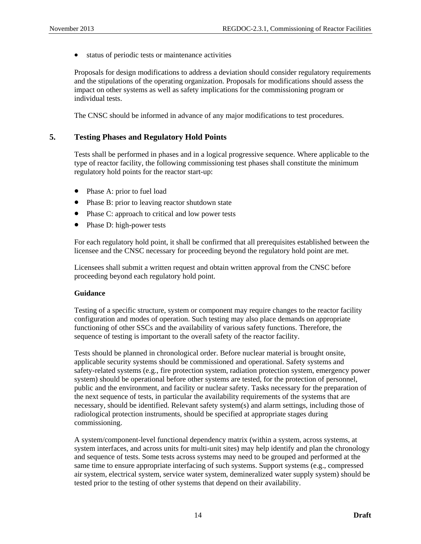<span id="page-18-0"></span>• status of periodic tests or maintenance activities

Proposals for design modifications to address a deviation should consider regulatory requirements and the stipulations of the operating organization. Proposals for modifications should assess the impact on other systems as well as safety implications for the commissioning program or individual tests.

The CNSC should be informed in advance of any major modifications to test procedures.

### **5. Testing Phases and Regulatory Hold Points**

Tests shall be performed in phases and in a logical progressive sequence. Where applicable to the type of reactor facility, the following commissioning test phases shall constitute the minimum regulatory hold points for the reactor start-up:

- Phase A: prior to fuel load
- Phase B: prior to leaving reactor shutdown state
- Phase C: approach to critical and low power tests
- Phase D: high-power tests

For each regulatory hold point, it shall be confirmed that all prerequisites established between the licensee and the CNSC necessary for proceeding beyond the regulatory hold point are met.

Licensees shall submit a written request and obtain written approval from the CNSC before proceeding beyond each regulatory hold point.

### **Guidance**

Testing of a specific structure, system or component may require changes to the reactor facility configuration and modes of operation. Such testing may also place demands on appropriate functioning of other SSCs and the availability of various safety functions. Therefore, the sequence of testing is important to the overall safety of the reactor facility.

Tests should be planned in chronological order. Before nuclear material is brought onsite, applicable security systems should be commissioned and operational. Safety systems and safety-related systems (e.g., fire protection system, radiation protection system, emergency power system) should be operational before other systems are tested, for the protection of personnel, public and the environment, and facility or nuclear safety. Tasks necessary for the preparation of the next sequence of tests, in particular the availability requirements of the systems that are necessary, should be identified. Relevant safety system(s) and alarm settings, including those of radiological protection instruments, should be specified at appropriate stages during commissioning.

A system/component-level functional dependency matrix (within a system, across systems, at system interfaces, and across units for multi-unit sites) may help identify and plan the chronology and sequence of tests. Some tests across systems may need to be grouped and performed at the same time to ensure appropriate interfacing of such systems. Support systems (e.g., compressed air system, electrical system, service water system, demineralized water supply system) should be tested prior to the testing of other systems that depend on their availability.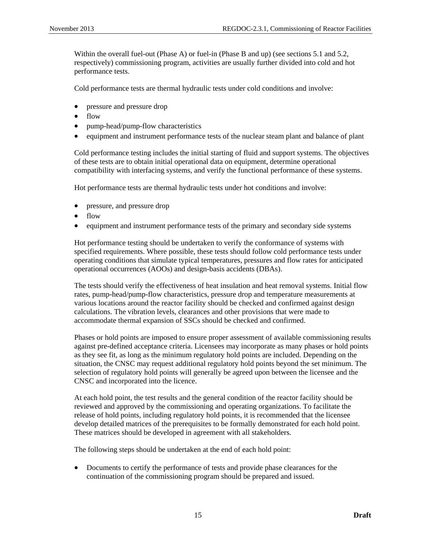Within the overall fuel-out (Phase A) or fuel-in (Phase B and up) (see sections 5.1 and 5.2, respectively) commissioning program, activities are usually further divided into cold and hot performance tests.

Cold performance tests are thermal hydraulic tests under cold conditions and involve:

- pressure and pressure drop
- flow
- pump-head/pump-flow characteristics
- equipment and instrument performance tests of the nuclear steam plant and balance of plant

Cold performance testing includes the initial starting of fluid and support systems. The objectives of these tests are to obtain initial operational data on equipment, determine operational compatibility with interfacing systems, and verify the functional performance of these systems.

Hot performance tests are thermal hydraulic tests under hot conditions and involve:

- pressure, and pressure drop
- flow
- equipment and instrument performance tests of the primary and secondary side systems

Hot performance testing should be undertaken to verify the conformance of systems with specified requirements. Where possible, these tests should follow cold performance tests under operating conditions that simulate typical temperatures, pressures and flow rates for anticipated operational occurrences (AOOs) and design-basis accidents (DBAs).

The tests should verify the effectiveness of heat insulation and heat removal systems. Initial flow rates, pump-head/pump-flow characteristics, pressure drop and temperature measurements at various locations around the reactor facility should be checked and confirmed against design calculations. The vibration levels, clearances and other provisions that were made to accommodate thermal expansion of SSCs should be checked and confirmed.

Phases or hold points are imposed to ensure proper assessment of available commissioning results against pre-defined acceptance criteria. Licensees may incorporate as many phases or hold points as they see fit, as long as the minimum regulatory hold points are included. Depending on the situation, the CNSC may request additional regulatory hold points beyond the set minimum. The selection of regulatory hold points will generally be agreed upon between the licensee and the CNSC and incorporated into the licence.

At each hold point, the test results and the general condition of the reactor facility should be reviewed and approved by the commissioning and operating organizations. To facilitate the release of hold points, including regulatory hold points, it is recommended that the licensee develop detailed matrices of the prerequisites to be formally demonstrated for each hold point. These matrices should be developed in agreement with all stakeholders.

The following steps should be undertaken at the end of each hold point:

• Documents to certify the performance of tests and provide phase clearances for the continuation of the commissioning program should be prepared and issued.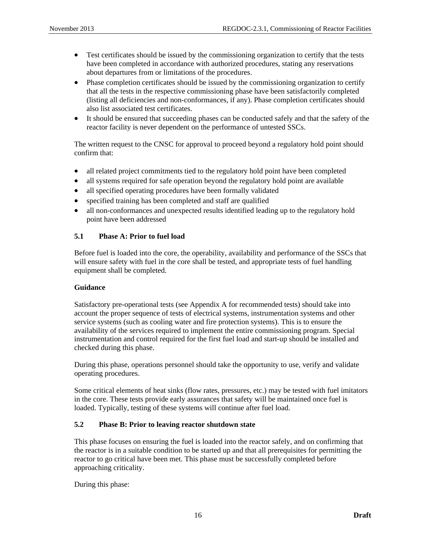- <span id="page-20-0"></span>• Test certificates should be issued by the commissioning organization to certify that the tests have been completed in accordance with authorized procedures, stating any reservations about departures from or limitations of the procedures.
- Phase completion certificates should be issued by the commissioning organization to certify that all the tests in the respective commissioning phase have been satisfactorily completed (listing all deficiencies and non-conformances, if any). Phase completion certificates should also list associated test certificates.
- It should be ensured that succeeding phases can be conducted safely and that the safety of the reactor facility is never dependent on the performance of untested SSCs.

The written request to the CNSC for approval to proceed beyond a regulatory hold point should confirm that:

- all related project commitments tied to the regulatory hold point have been completed
- all systems required for safe operation beyond the regulatory hold point are available
- all specified operating procedures have been formally validated
- specified training has been completed and staff are qualified
- all non-conformances and unexpected results identified leading up to the regulatory hold point have been addressed

### **5.1 Phase A: Prior to fuel load**

Before fuel is loaded into the core, the operability, availability and performance of the SSCs that will ensure safety with fuel in the core shall be tested, and appropriate tests of fuel handling equipment shall be completed.

### **Guidance**

Satisfactory pre-operational tests (see Appendix A for recommended tests) should take into account the proper sequence of tests of electrical systems, instrumentation systems and other service systems (such as cooling water and fire protection systems). This is to ensure the availability of the services required to implement the entire commissioning program. Special instrumentation and control required for the first fuel load and start-up should be installed and checked during this phase.

During this phase, operations personnel should take the opportunity to use, verify and validate operating procedures.

Some critical elements of heat sinks (flow rates, pressures, etc.) may be tested with fuel imitators in the core. These tests provide early assurances that safety will be maintained once fuel is loaded. Typically, testing of these systems will continue after fuel load.

### **5.2 Phase B: Prior to leaving reactor shutdown state**

This phase focuses on ensuring the fuel is loaded into the reactor safely, and on confirming that the reactor is in a suitable condition to be started up and that all prerequisites for permitting the reactor to go critical have been met. This phase must be successfully completed before approaching criticality.

During this phase: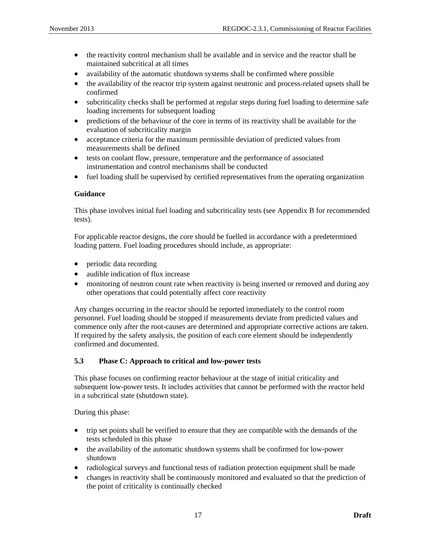- <span id="page-21-0"></span>• the reactivity control mechanism shall be available and in service and the reactor shall be maintained subcritical at all times
- availability of the automatic shutdown systems shall be confirmed where possible
- the availability of the reactor trip system against neutronic and process-related upsets shall be confirmed
- subcriticality checks shall be performed at regular steps during fuel loading to determine safe loading increments for subsequent loading
- predictions of the behaviour of the core in terms of its reactivity shall be available for the evaluation of subcriticality margin
- acceptance criteria for the maximum permissible deviation of predicted values from measurements shall be defined
- tests on coolant flow, pressure, temperature and the performance of associated instrumentation and control mechanisms shall be conducted
- fuel loading shall be supervised by certified representatives from the operating organization

### **Guidance**

This phase involves initial fuel loading and subcriticality tests (see Appendix B for recommended tests).

For applicable reactor designs, the core should be fuelled in accordance with a predetermined loading pattern. Fuel loading procedures should include, as appropriate:

- periodic data recording
- audible indication of flux increase
- monitoring of neutron count rate when reactivity is being inserted or removed and during any other operations that could potentially affect core reactivity

Any changes occurring in the reactor should be reported immediately to the control room personnel. Fuel loading should be stopped if measurements deviate from predicted values and commence only after the root-causes are determined and appropriate corrective actions are taken. If required by the safety analysis, the position of each core element should be independently confirmed and documented.

### **5.3 Phase C: Approach to critical and low-power tests**

This phase focuses on confirming reactor behaviour at the stage of initial criticality and subsequent low-power tests. It includes activities that cannot be performed with the reactor held in a subcritical state (shutdown state).

During this phase:

- trip set points shall be verified to ensure that they are compatible with the demands of the tests scheduled in this phase
- the availability of the automatic shutdown systems shall be confirmed for low-power shutdown
- radiological surveys and functional tests of radiation protection equipment shall be made
- changes in reactivity shall be continuously monitored and evaluated so that the prediction of the point of criticality is continually checked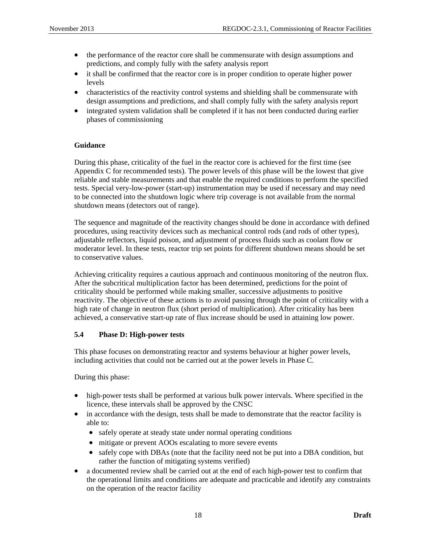- <span id="page-22-0"></span>• the performance of the reactor core shall be commensurate with design assumptions and predictions, and comply fully with the safety analysis report
- it shall be confirmed that the reactor core is in proper condition to operate higher power levels
- characteristics of the reactivity control systems and shielding shall be commensurate with design assumptions and predictions, and shall comply fully with the safety analysis report
- integrated system validation shall be completed if it has not been conducted during earlier phases of commissioning

### **Guidance**

During this phase, criticality of the fuel in the reactor core is achieved for the first time (see Appendix C for recommended tests). The power levels of this phase will be the lowest that give reliable and stable measurements and that enable the required conditions to perform the specified tests. Special very-low-power (start-up) instrumentation may be used if necessary and may need to be connected into the shutdown logic where trip coverage is not available from the normal shutdown means (detectors out of range).

The sequence and magnitude of the reactivity changes should be done in accordance with defined procedures, using reactivity devices such as mechanical control rods (and rods of other types), adjustable reflectors, liquid poison, and adjustment of process fluids such as coolant flow or moderator level. In these tests, reactor trip set points for different shutdown means should be set to conservative values.

Achieving criticality requires a cautious approach and continuous monitoring of the neutron flux. After the subcritical multiplication factor has been determined, predictions for the point of criticality should be performed while making smaller, successive adjustments to positive reactivity. The objective of these actions is to avoid passing through the point of criticality with a high rate of change in neutron flux (short period of multiplication). After criticality has been achieved, a conservative start-up rate of flux increase should be used in attaining low power.

### **5.4 Phase D: High-power tests**

This phase focuses on demonstrating reactor and systems behaviour at higher power levels, including activities that could not be carried out at the power levels in Phase C.

During this phase:

- high-power tests shall be performed at various bulk power intervals. Where specified in the licence, these intervals shall be approved by the CNSC
- in accordance with the design, tests shall be made to demonstrate that the reactor facility is able to:
	- safely operate at steady state under normal operating conditions
	- mitigate or prevent AOOs escalating to more severe events
	- safely cope with DBAs (note that the facility need not be put into a DBA condition, but rather the function of mitigating systems verified)
- a documented review shall be carried out at the end of each high-power test to confirm that the operational limits and conditions are adequate and practicable and identify any constraints on the operation of the reactor facility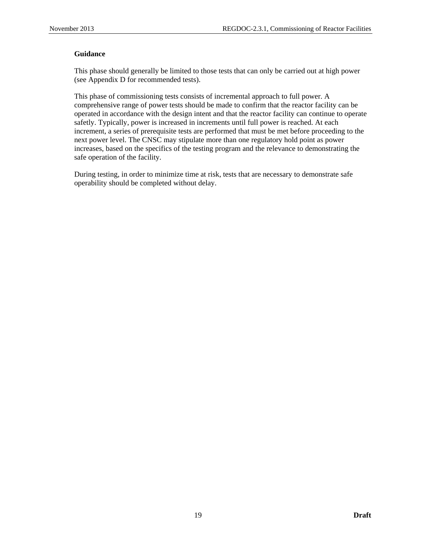### **Guidance**

This phase should generally be limited to those tests that can only be carried out at high power (see Appendix D for recommended tests).

This phase of commissioning tests consists of incremental approach to full power. A comprehensive range of power tests should be made to confirm that the reactor facility can be operated in accordance with the design intent and that the reactor facility can continue to operate safetly. Typically, power is increased in increments until full power is reached. At each increment, a series of prerequisite tests are performed that must be met before proceeding to the next power level. The CNSC may stipulate more than one regulatory hold point as power increases, based on the specifics of the testing program and the relevance to demonstrating the safe operation of the facility.

During testing, in order to minimize time at risk, tests that are necessary to demonstrate safe operability should be completed without delay.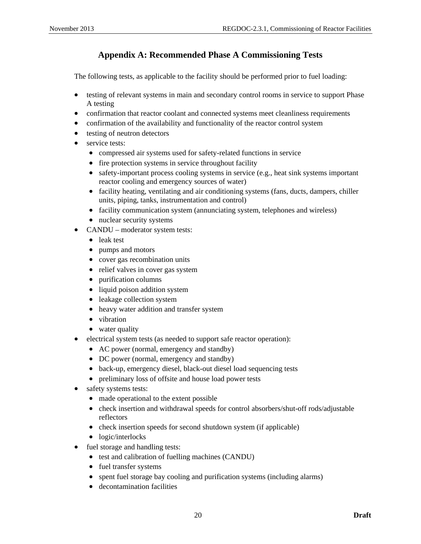# **Appendix A: Recommended Phase A Commissioning Tests**

<span id="page-24-0"></span>The following tests, as applicable to the facility should be performed prior to fuel loading:

- testing of relevant systems in main and secondary control rooms in service to support Phase A testing
- confirmation that reactor coolant and connected systems meet cleanliness requirements
- confirmation of the availability and functionality of the reactor control system
- testing of neutron detectors
- service tests:
	- compressed air systems used for safety-related functions in service
	- fire protection systems in service throughout facility
	- safety-important process cooling systems in service (e.g., heat sink systems important reactor cooling and emergency sources of water)
	- facility heating, ventilating and air conditioning systems (fans, ducts, dampers, chiller units, piping, tanks, instrumentation and control)
	- facility communication system (annunciating system, telephones and wireless)
	- nuclear security systems
- CANDU moderator system tests:
	- leak test
	- pumps and motors
	- cover gas recombination units
	- relief valves in cover gas system
	- purification columns
	- liquid poison addition system
	- leakage collection system
	- heavy water addition and transfer system
	- vibration
	- water quality
- electrical system tests (as needed to support safe reactor operation):
	- AC power (normal, emergency and standby)
	- DC power (normal, emergency and standby)
	- back-up, emergency diesel, black-out diesel load sequencing tests
	- preliminary loss of offsite and house load power tests
- safety systems tests:
	- made operational to the extent possible
	- check insertion and withdrawal speeds for control absorbers/shut-off rods/adjustable reflectors
	- check insertion speeds for second shutdown system (if applicable)
	- logic/interlocks
- fuel storage and handling tests:
	- test and calibration of fuelling machines (CANDU)
	- fuel transfer systems
	- spent fuel storage bay cooling and purification systems (including alarms)
	- decontamination facilities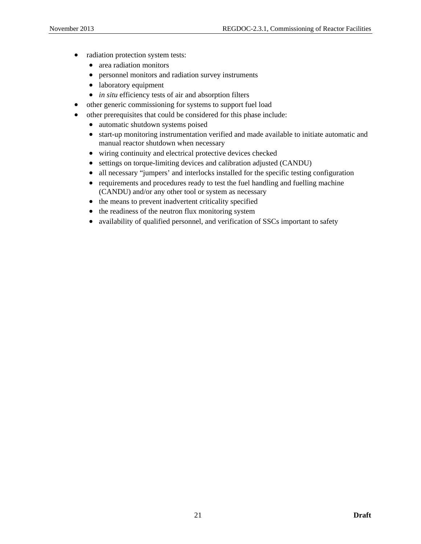- radiation protection system tests:
	- area radiation monitors
	- personnel monitors and radiation survey instruments
	- laboratory equipment
	- *in situ* efficiency tests of air and absorption filters
- other generic commissioning for systems to support fuel load
- other prerequisites that could be considered for this phase include:
	- automatic shutdown systems poised
	- start-up monitoring instrumentation verified and made available to initiate automatic and manual reactor shutdown when necessary
	- wiring continuity and electrical protective devices checked
	- settings on torque-limiting devices and calibration adjusted (CANDU)
	- all necessary "jumpers' and interlocks installed for the specific testing configuration
	- requirements and procedures ready to test the fuel handling and fuelling machine (CANDU) and/or any other tool or system as necessary
	- the means to prevent inadvertent criticality specified
	- the readiness of the neutron flux monitoring system
	- availability of qualified personnel, and verification of SSCs important to safety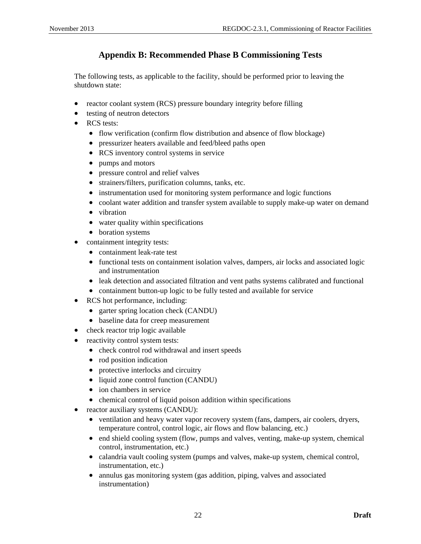# **Appendix B: Recommended Phase B Commissioning Tests**

<span id="page-26-0"></span>The following tests, as applicable to the facility, should be performed prior to leaving the shutdown state:

- reactor coolant system (RCS) pressure boundary integrity before filling
- testing of neutron detectors
- RCS tests:
	- flow verification (confirm flow distribution and absence of flow blockage)
	- pressurizer heaters available and feed/bleed paths open
	- RCS inventory control systems in service
	- pumps and motors
	- pressure control and relief valves
	- strainers/filters, purification columns, tanks, etc.
	- instrumentation used for monitoring system performance and logic functions
	- coolant water addition and transfer system available to supply make-up water on demand
	- vibration
	- water quality within specifications
	- boration systems
- containment integrity tests:
	- containment leak-rate test
	- functional tests on containment isolation valves, dampers, air locks and associated logic and instrumentation
	- leak detection and associated filtration and vent paths systems calibrated and functional
	- containment button-up logic to be fully tested and available for service
- RCS hot performance, including:
	- garter spring location check (CANDU)
	- baseline data for creep measurement
- check reactor trip logic available
- reactivity control system tests:
	- check control rod withdrawal and insert speeds
	- rod position indication
	- protective interlocks and circuitry
	- liquid zone control function (CANDU)
	- ion chambers in service
	- chemical control of liquid poison addition within specifications
- reactor auxiliary systems (CANDU):
	- ventilation and heavy water vapor recovery system (fans, dampers, air coolers, dryers, temperature control, control logic, air flows and flow balancing, etc.)
	- end shield cooling system (flow, pumps and valves, venting, make-up system, chemical control, instrumentation, etc.)
	- calandria vault cooling system (pumps and valves, make-up system, chemical control, instrumentation, etc.)
	- annulus gas monitoring system (gas addition, piping, valves and associated instrumentation)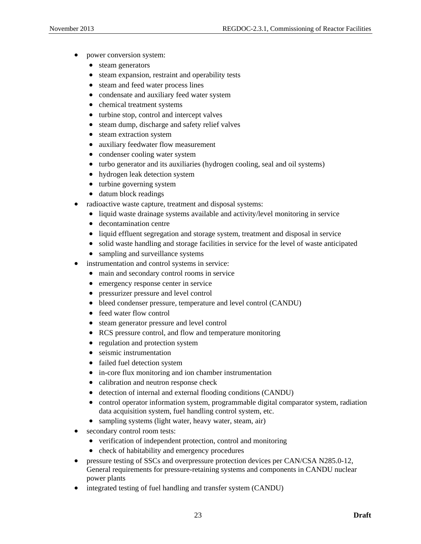- power conversion system:
	- steam generators
	- steam expansion, restraint and operability tests
	- steam and feed water process lines
	- condensate and auxiliary feed water system
	- chemical treatment systems
	- turbine stop, control and intercept valves
	- steam dump, discharge and safety relief valves
	- steam extraction system
	- auxiliary feedwater flow measurement
	- condenser cooling water system
	- turbo generator and its auxiliaries (hydrogen cooling, seal and oil systems)
	- hydrogen leak detection system
	- turbine governing system
	- datum block readings
- radioactive waste capture, treatment and disposal systems:
	- liquid waste drainage systems available and activity/level monitoring in service
	- decontamination centre
	- liquid effluent segregation and storage system, treatment and disposal in service
	- solid waste handling and storage facilities in service for the level of waste anticipated
	- sampling and surveillance systems
- instrumentation and control systems in service:
	- main and secondary control rooms in service
	- emergency response center in service
	- pressurizer pressure and level control
	- bleed condenser pressure, temperature and level control (CANDU)
	- feed water flow control
	- steam generator pressure and level control
	- RCS pressure control, and flow and temperature monitoring
	- regulation and protection system
	- seismic instrumentation
	- failed fuel detection system
	- in-core flux monitoring and ion chamber instrumentation
	- calibration and neutron response check
	- detection of internal and external flooding conditions (CANDU)
	- control operator information system, programmable digital comparator system, radiation data acquisition system, fuel handling control system, etc.
	- sampling systems (light water, heavy water, steam, air)
- secondary control room tests:
	- verification of independent protection, control and monitoring
	- check of habitability and emergency procedures
- pressure testing of SSCs and overpressure protection devices per CAN/CSA N285.0-12, General requirements for pressure-retaining systems and components in CANDU nuclear power plants
- integrated testing of fuel handling and transfer system (CANDU)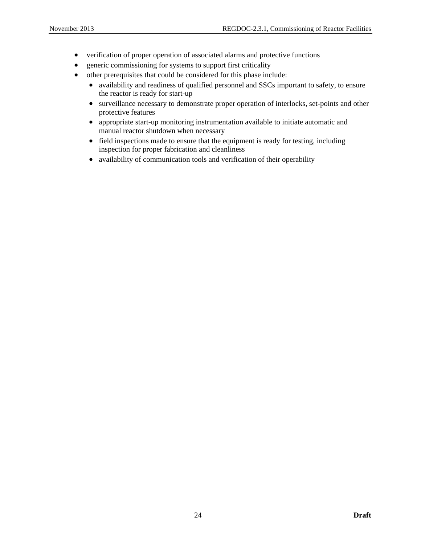- verification of proper operation of associated alarms and protective functions
- generic commissioning for systems to support first criticality
- other prerequisites that could be considered for this phase include:
	- availability and readiness of qualified personnel and SSCs important to safety, to ensure the reactor is ready for start-up
	- surveillance necessary to demonstrate proper operation of interlocks, set-points and other protective features
	- appropriate start-up monitoring instrumentation available to initiate automatic and manual reactor shutdown when necessary
	- field inspections made to ensure that the equipment is ready for testing, including inspection for proper fabrication and cleanliness
	- availability of communication tools and verification of their operability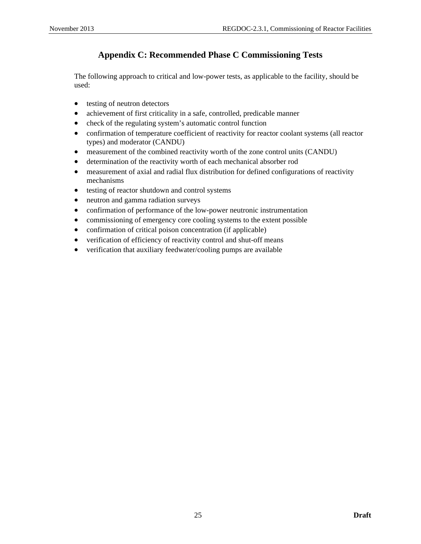# **Appendix C: Recommended Phase C Commissioning Tests**

<span id="page-29-0"></span>The following approach to critical and low-power tests, as applicable to the facility, should be used:

- testing of neutron detectors
- achievement of first criticality in a safe, controlled, predicable manner
- check of the regulating system's automatic control function
- confirmation of temperature coefficient of reactivity for reactor coolant systems (all reactor types) and moderator (CANDU)
- measurement of the combined reactivity worth of the zone control units (CANDU)
- determination of the reactivity worth of each mechanical absorber rod
- measurement of axial and radial flux distribution for defined configurations of reactivity mechanisms
- testing of reactor shutdown and control systems
- neutron and gamma radiation surveys
- confirmation of performance of the low-power neutronic instrumentation
- commissioning of emergency core cooling systems to the extent possible
- confirmation of critical poison concentration (if applicable)
- verification of efficiency of reactivity control and shut-off means
- verification that auxiliary feedwater/cooling pumps are available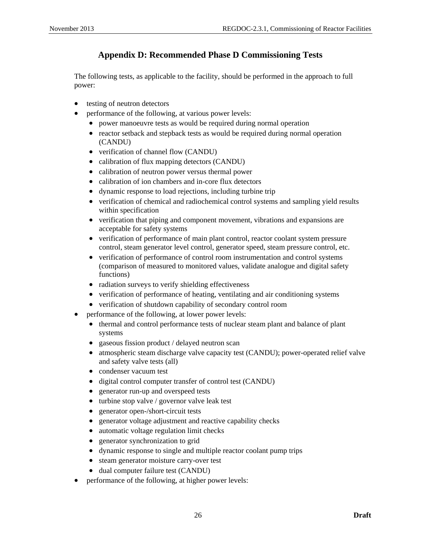# **Appendix D: Recommended Phase D Commissioning Tests**

<span id="page-30-0"></span>The following tests, as applicable to the facility, should be performed in the approach to full power:

- testing of neutron detectors
- performance of the following, at various power levels:
	- power manoeuvre tests as would be required during normal operation
	- reactor setback and stepback tests as would be required during normal operation (CANDU)
	- verification of channel flow (CANDU)
	- calibration of flux mapping detectors (CANDU)
	- calibration of neutron power versus thermal power
	- calibration of ion chambers and in-core flux detectors
	- dynamic response to load rejections, including turbine trip
	- verification of chemical and radiochemical control systems and sampling yield results within specification
	- verification that piping and component movement, vibrations and expansions are acceptable for safety systems
	- verification of performance of main plant control, reactor coolant system pressure control, steam generator level control, generator speed, steam pressure control, etc.
	- verification of performance of control room instrumentation and control systems (comparison of measured to monitored values, validate analogue and digital safety functions)
	- radiation surveys to verify shielding effectiveness
	- verification of performance of heating, ventilating and air conditioning systems
	- verification of shutdown capability of secondary control room
- performance of the following, at lower power levels:
	- thermal and control performance tests of nuclear steam plant and balance of plant systems
	- gaseous fission product / delayed neutron scan
	- atmospheric steam discharge valve capacity test (CANDU); power-operated relief valve and safety valve tests (all)
	- condenser vacuum test
	- digital control computer transfer of control test (CANDU)
	- generator run-up and overspeed tests
	- turbine stop valve / governor valve leak test
	- generator open-/short-circuit tests
	- generator voltage adjustment and reactive capability checks
	- automatic voltage regulation limit checks
	- generator synchronization to grid
	- dynamic response to single and multiple reactor coolant pump trips
	- steam generator moisture carry-over test
	- dual computer failure test (CANDU)
- performance of the following, at higher power levels: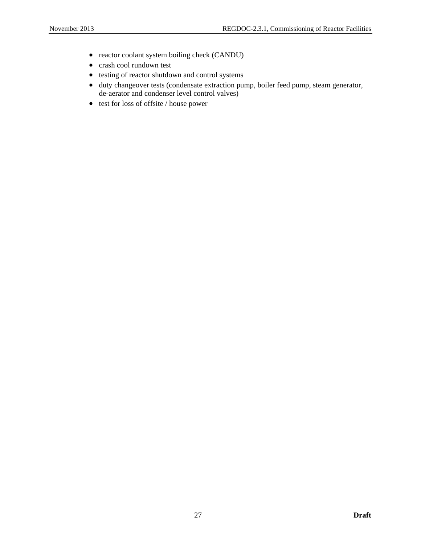- reactor coolant system boiling check (CANDU)
- crash cool rundown test
- testing of reactor shutdown and control systems
- duty changeover tests (condensate extraction pump, boiler feed pump, steam generator, de-aerator and condenser level control valves)
- test for loss of offsite / house power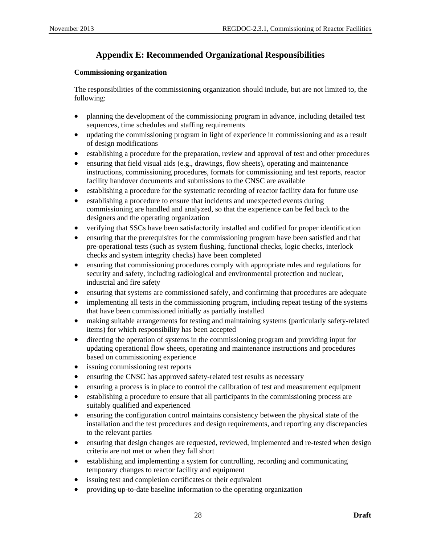# **Appendix E: Recommended Organizational Responsibilities**

### <span id="page-32-0"></span>**Commissioning organization**

The responsibilities of the commissioning organization should include, but are not limited to, the following:

- planning the development of the commissioning program in advance, including detailed test sequences, time schedules and staffing requirements
- updating the commissioning program in light of experience in commissioning and as a result of design modifications
- establishing a procedure for the preparation, review and approval of test and other procedures
- ensuring that field visual aids (e.g., drawings, flow sheets), operating and maintenance instructions, commissioning procedures, formats for commissioning and test reports, reactor facility handover documents and submissions to the CNSC are available
- establishing a procedure for the systematic recording of reactor facility data for future use
- establishing a procedure to ensure that incidents and unexpected events during commissioning are handled and analyzed, so that the experience can be fed back to the designers and the operating organization
- verifying that SSCs have been satisfactorily installed and codified for proper identification
- ensuring that the prerequisites for the commissioning program have been satisfied and that pre-operational tests (such as system flushing, functional checks, logic checks, interlock checks and system integrity checks) have been completed
- ensuring that commissioning procedures comply with appropriate rules and regulations for security and safety, including radiological and environmental protection and nuclear, industrial and fire safety
- ensuring that systems are commissioned safely, and confirming that procedures are adequate
- implementing all tests in the commissioning program, including repeat testing of the systems that have been commissioned initially as partially installed
- making suitable arrangements for testing and maintaining systems (particularly safety-related items) for which responsibility has been accepted
- directing the operation of systems in the commissioning program and providing input for updating operational flow sheets, operating and maintenance instructions and procedures based on commissioning experience
- issuing commissioning test reports
- ensuring the CNSC has approved safety-related test results as necessary
- ensuring a process is in place to control the calibration of test and measurement equipment
- establishing a procedure to ensure that all participants in the commissioning process are suitably qualified and experienced
- ensuring the configuration control maintains consistency between the physical state of the installation and the test procedures and design requirements, and reporting any discrepancies to the relevant parties
- ensuring that design changes are requested, reviewed, implemented and re-tested when design criteria are not met or when they fall short
- establishing and implementing a system for controlling, recording and communicating temporary changes to reactor facility and equipment
- issuing test and completion certificates or their equivalent
- providing up-to-date baseline information to the operating organization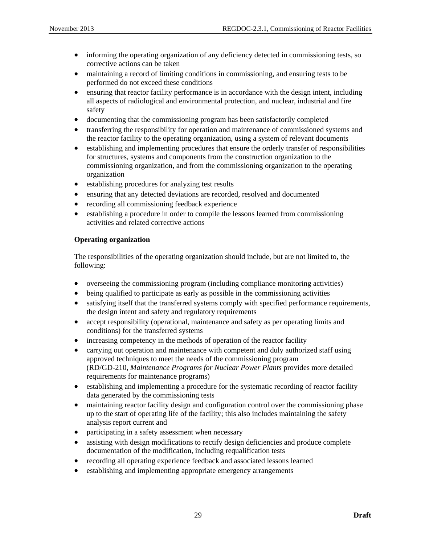- informing the operating organization of any deficiency detected in commissioning tests, so corrective actions can be taken
- maintaining a record of limiting conditions in commissioning, and ensuring tests to be performed do not exceed these conditions
- ensuring that reactor facility performance is in accordance with the design intent, including all aspects of radiological and environmental protection, and nuclear, industrial and fire safety
- documenting that the commissioning program has been satisfactorily completed
- transferring the responsibility for operation and maintenance of commissioned systems and the reactor facility to the operating organization, using a system of relevant documents
- establishing and implementing procedures that ensure the orderly transfer of responsibilities for structures, systems and components from the construction organization to the commissioning organization, and from the commissioning organization to the operating organization
- establishing procedures for analyzing test results
- ensuring that any detected deviations are recorded, resolved and documented
- recording all commissioning feedback experience
- establishing a procedure in order to compile the lessons learned from commissioning activities and related corrective actions

### **Operating organization**

The responsibilities of the operating organization should include, but are not limited to, the following:

- overseeing the commissioning program (including compliance monitoring activities)
- being qualified to participate as early as possible in the commissioning activities
- satisfying itself that the transferred systems comply with specified performance requirements, the design intent and safety and regulatory requirements
- accept responsibility (operational, maintenance and safety as per operating limits and conditions) for the transferred systems
- increasing competency in the methods of operation of the reactor facility
- carrying out operation and maintenance with competent and duly authorized staff using approved techniques to meet the needs of the commissioning program (RD/GD-210, *Maintenance Programs for Nuclear Power Plants* provides more detailed requirements for maintenance programs)
- establishing and implementing a procedure for the systematic recording of reactor facility data generated by the commissioning tests
- maintaining reactor facility design and configuration control over the commissioning phase up to the start of operating life of the facility; this also includes maintaining the safety analysis report current and
- participating in a safety assessment when necessary
- assisting with design modifications to rectify design deficiencies and produce complete documentation of the modification, including requalification tests
- recording all operating experience feedback and associated lessons learned
- establishing and implementing appropriate emergency arrangements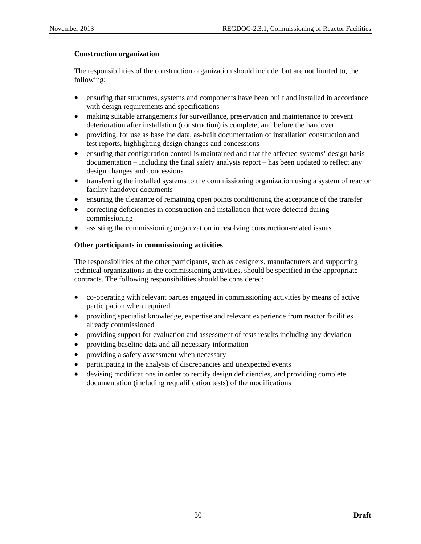### **Construction organization**

The responsibilities of the construction organization should include, but are not limited to, the following:

- ensuring that structures, systems and components have been built and installed in accordance with design requirements and specifications
- making suitable arrangements for surveillance, preservation and maintenance to prevent deterioration after installation (construction) is complete, and before the handover
- providing, for use as baseline data, as-built documentation of installation construction and test reports, highlighting design changes and concessions
- ensuring that configuration control is maintained and that the affected systems' design basis documentation – including the final safety analysis report – has been updated to reflect any design changes and concessions
- transferring the installed systems to the commissioning organization using a system of reactor facility handover documents
- ensuring the clearance of remaining open points conditioning the acceptance of the transfer
- correcting deficiencies in construction and installation that were detected during commissioning
- assisting the commissioning organization in resolving construction-related issues

### **Other participants in commissioning activities**

The responsibilities of the other participants, such as designers, manufacturers and supporting technical organizations in the commissioning activities, should be specified in the appropriate contracts. The following responsibilities should be considered:

- co-operating with relevant parties engaged in commissioning activities by means of active participation when required
- providing specialist knowledge, expertise and relevant experience from reactor facilities already commissioned
- providing support for evaluation and assessment of tests results including any deviation
- providing baseline data and all necessary information
- providing a safety assessment when necessary
- participating in the analysis of discrepancies and unexpected events
- devising modifications in order to rectify design deficiencies, and providing complete documentation (including requalification tests) of the modifications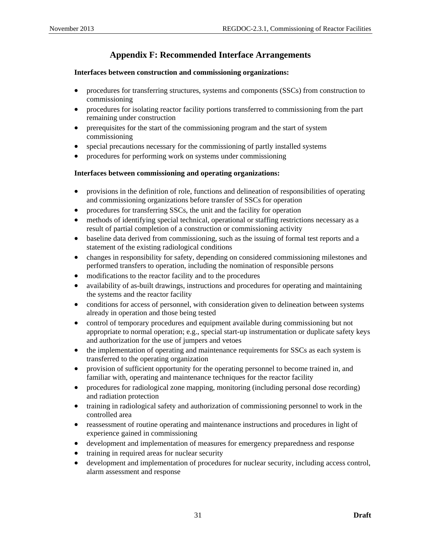# **Appendix F: Recommended Interface Arrangements**

### <span id="page-35-0"></span>**Interfaces between construction and commissioning organizations:**

- procedures for transferring structures, systems and components (SSCs) from construction to commissioning
- procedures for isolating reactor facility portions transferred to commissioning from the part remaining under construction
- prerequisites for the start of the commissioning program and the start of system commissioning
- special precautions necessary for the commissioning of partly installed systems
- procedures for performing work on systems under commissioning

### **Interfaces between commissioning and operating organizations:**

- provisions in the definition of role, functions and delineation of responsibilities of operating and commissioning organizations before transfer of SSCs for operation
- procedures for transferring SSCs, the unit and the facility for operation
- methods of identifying special technical, operational or staffing restrictions necessary as a result of partial completion of a construction or commissioning activity
- baseline data derived from commissioning, such as the issuing of formal test reports and a statement of the existing radiological conditions
- changes in responsibility for safety, depending on considered commissioning milestones and performed transfers to operation, including the nomination of responsible persons
- modifications to the reactor facility and to the procedures
- availability of as-built drawings, instructions and procedures for operating and maintaining the systems and the reactor facility
- conditions for access of personnel, with consideration given to delineation between systems already in operation and those being tested
- control of temporary procedures and equipment available during commissioning but not appropriate to normal operation; e.g., special start-up instrumentation or duplicate safety keys and authorization for the use of jumpers and vetoes
- the implementation of operating and maintenance requirements for SSCs as each system is transferred to the operating organization
- provision of sufficient opportunity for the operating personnel to become trained in, and familiar with, operating and maintenance techniques for the reactor facility
- procedures for radiological zone mapping, monitoring (including personal dose recording) and radiation protection
- training in radiological safety and authorization of commissioning personnel to work in the controlled area
- reassessment of routine operating and maintenance instructions and procedures in light of experience gained in commissioning
- development and implementation of measures for emergency preparedness and response
- training in required areas for nuclear security
- development and implementation of procedures for nuclear security, including access control, alarm assessment and response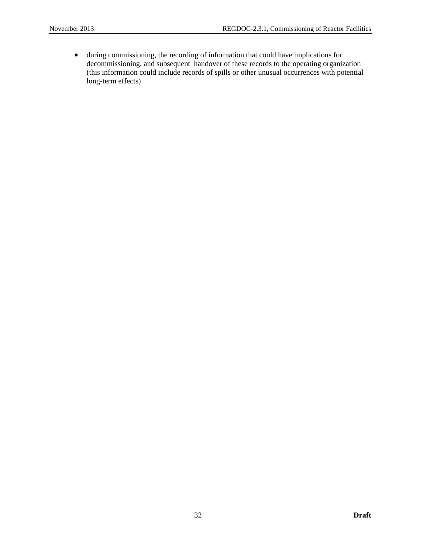• during commissioning, the recording of information that could have implications for decommissioning, and subsequent handover of these records to the operating organization (this information could include records of spills or other unusual occurrences with potential long-term effects)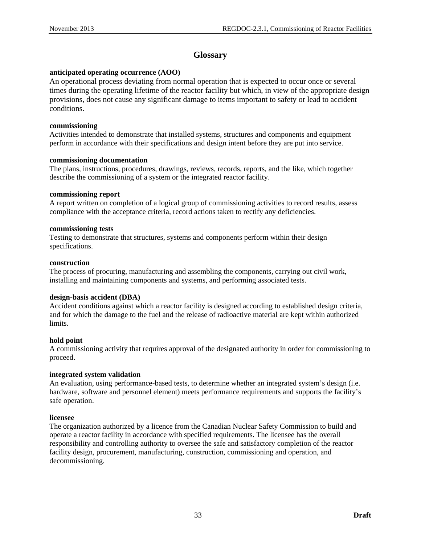# **Glossary**

### <span id="page-37-0"></span>**anticipated operating occurrence (AOO)**

An operational process deviating from normal operation that is expected to occur once or several times during the operating lifetime of the reactor facility but which, in view of the appropriate design provisions, does not cause any significant damage to items important to safety or lead to accident conditions.

### **commissioning**

Activities intended to demonstrate that installed systems, structures and components and equipment perform in accordance with their specifications and design intent before they are put into service.

### **commissioning documentation**

The plans, instructions, procedures, drawings, reviews, records, reports, and the like, which together describe the commissioning of a system or the integrated reactor facility.

### **commissioning report**

A report written on completion of a logical group of commissioning activities to record results, assess compliance with the acceptance criteria, record actions taken to rectify any deficiencies.

### **commissioning tests**

Testing to demonstrate that structures, systems and components perform within their design specifications.

### **construction**

The process of procuring, manufacturing and assembling the components, carrying out civil work, installing and maintaining components and systems, and performing associated tests.

### **design-basis accident (DBA)**

Accident conditions against which a reactor facility is designed according to established design criteria, and for which the damage to the fuel and the release of radioactive material are kept within authorized limits.

### **hold point**

A commissioning activity that requires approval of the designated authority in order for commissioning to proceed.

### **integrated system validation**

An evaluation, using performance-based tests, to determine whether an integrated system's design (i.e. hardware, software and personnel element) meets performance requirements and supports the facility's safe operation.

### **licensee**

The organization authorized by a licence from the Canadian Nuclear Safety Commission to build and operate a reactor facility in accordance with specified requirements. The licensee has the overall responsibility and controlling authority to oversee the safe and satisfactory completion of the reactor facility design, procurement, manufacturing, construction, commissioning and operation, and decommissioning.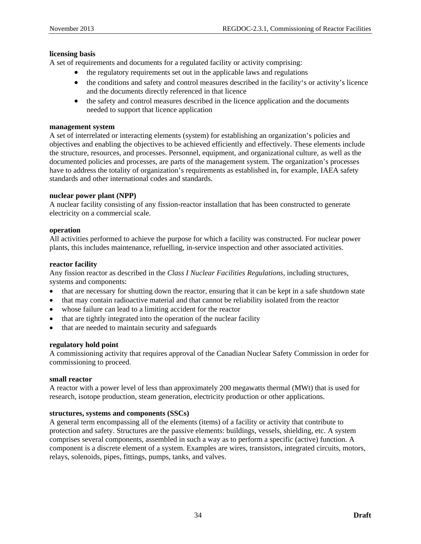### **licensing basis**

A set of requirements and documents for a regulated facility or activity comprising:

- the regulatory requirements set out in the applicable laws and regulations
- the conditions and safety and control measures described in the facility's or activity's licence and the documents directly referenced in that licence
- the safety and control measures described in the licence application and the documents needed to support that licence application

### **management system**

A set of interrelated or interacting elements (system) for establishing an organization's policies and objectives and enabling the objectives to be achieved efficiently and effectively. These elements include the structure, resources, and processes. Personnel, equipment, and organizational culture, as well as the documented policies and processes, are parts of the management system. The organization's processes have to address the totality of organization's requirements as established in, for example, IAEA safety standards and other international codes and standards.

### **nuclear power plant (NPP)**

A nuclear facility consisting of any fission-reactor installation that has been constructed to generate electricity on a commercial scale.

### **operation**

All activities performed to achieve the purpose for which a facility was constructed. For nuclear power plants, this includes maintenance, refuelling, in-service inspection and other associated activities.

### **reactor facility**

Any fission reactor as described in the *Class I Nuclear Facilities Regulations*, including structures, systems and components:

- that are necessary for shutting down the reactor, ensuring that it can be kept in a safe shutdown state
- that may contain radioactive material and that cannot be reliability isolated from the reactor
- whose failure can lead to a limiting accident for the reactor
- that are tightly integrated into the operation of the nuclear facility
- that are needed to maintain security and safeguards

### **regulatory hold point**

A commissioning activity that requires approval of the Canadian Nuclear Safety Commission in order for commissioning to proceed.

#### **small reactor**

A reactor with a power level of less than approximately 200 megawatts thermal (MWt) that is used for research, isotope production, steam generation, electricity production or other applications.

### **structures, systems and components (SSCs)**

A general term encompassing all of the elements (items) of a facility or activity that contribute to protection and safety. Structures are the passive elements: buildings, vessels, shielding, etc. A system comprises several components, assembled in such a way as to perform a specific (active) function. A component is a discrete element of a system. Examples are wires, transistors, integrated circuits, motors, relays, solenoids, pipes, fittings, pumps, tanks, and valves.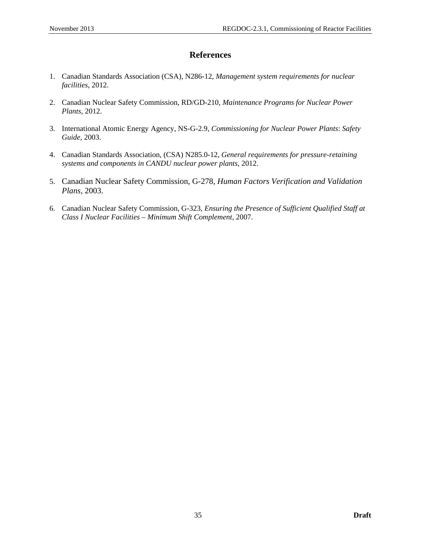### **References**

- <span id="page-39-0"></span>1. Canadian Standards Association (CSA), N286-12, *Management system requirements for nuclear facilities*, 2012.
- 2. Canadian Nuclear Safety Commission, RD/GD-210, *Maintenance Programs for Nuclear Power Plants*, 2012.
- 3. International Atomic Energy Agency, NS-G-2.9, *Commissioning for Nuclear Power Plants*: *Safety Guide*, 2003.
- 4. Canadian Standards Association, (CSA) N285.0-12, *General requirements for pressure-retaining systems and components in CANDU nuclear power plants*, 2012.
- 5. Canadian Nuclear Safety Commission, G-278, *Human Factors Verification and Validation Plans,* 2003.
- 6. Canadian Nuclear Safety Commission, G-323, *Ensuring the Presence of Sufficient Qualified Staff at Class I Nuclear Facilities – Minimum Shift Complement*, 2007.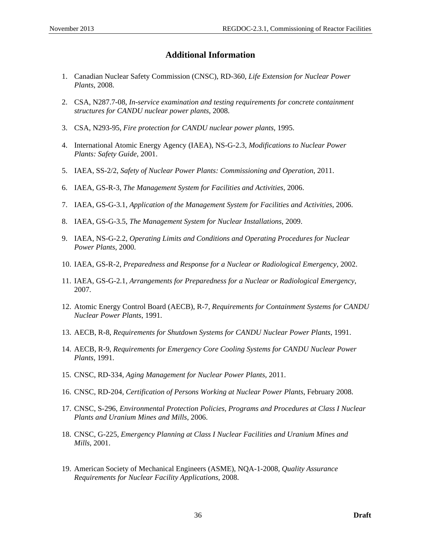## **Additional Information**

- <span id="page-40-0"></span>1. Canadian Nuclear Safety Commission (CNSC), RD-360, *Life Extension for Nuclear Power Plants*, 2008.
- 2. CSA, N287.7-08, *In-service examination and testing requirements for concrete containment structures for CANDU nuclear power plants*, 2008.
- 3. CSA, N293-95, *Fire protection for CANDU nuclear power plants*, 1995.
- 4. International Atomic Energy Agency (IAEA), NS-G-2.3, *Modifications to Nuclear Power Plants: Safety Guide*, 2001.
- 5. IAEA, SS-2/2, *Safety of Nuclear Power Plants: Commissioning and Operation*, 2011.
- 6. IAEA, GS-R-3, *The Management System for Facilities and Activities*, 2006.
- 7. IAEA, GS-G-3.1, *Application of the Management System for Facilities and Activities*, 2006.
- 8. IAEA, GS-G-3.5, *The Management System for Nuclear Installations*, 2009.
- 9. IAEA, NS-G-2.2, *Operating Limits and Conditions and Operating Procedures for Nuclear Power Plants*, 2000.
- 10. IAEA, GS-R-2, *Preparedness and Response for a Nuclear or Radiological Emergency*, 2002.
- 11. IAEA, GS-G-2.1, *Arrangements for Preparedness for a Nuclear or Radiological Emergency*, 2007.
- 12. Atomic Energy Control Board (AECB), R-7, *Requirements for Containment Systems for CANDU Nuclear Power Plants*, 1991.
- 13. AECB, R-8, *Requirements for Shutdown Systems for CANDU Nuclear Power Plants*, 1991.
- 14. AECB, R-9, *Requirements for Emergency Core Cooling Systems for CANDU Nuclear Power Plants*, 1991.
- 15. CNSC, RD-334, *[Aging Management for Nuclear Power Plants](http://www.nuclearsafety.gc.ca/eng/lawsregs/comment/rd-334-1.cfm)*, 2011.
- 16. CNSC, RD-204, *Certification of Persons Working at Nuclear Power Plants*, February 2008.
- 17. CNSC, S-296, *Environmental Protection Policies, Programs and Procedures at Class I Nuclear Plants and Uranium Mines and Mills*, 2006.
- 18. CNSC, G-225, *Emergency Planning at Class I Nuclear Facilities and Uranium Mines and Mills*, 2001.
- 19. American Society of Mechanical Engineers (ASME), NQA-1-2008, *Quality Assurance Requirements for Nuclear Facility Applications*, 2008.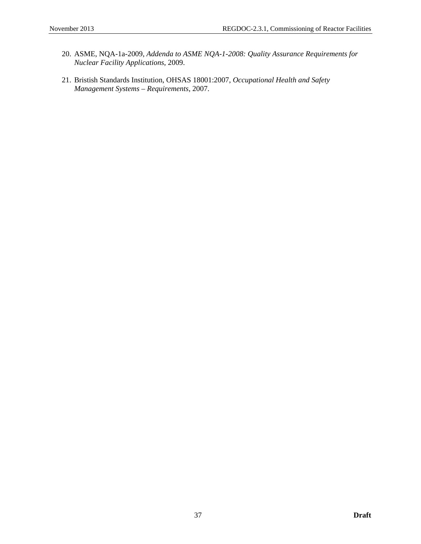- 20. ASME, NQA-1a-2009, *Addenda to ASME NQA-1-2008: Quality Assurance Requirements for Nuclear Facility Applications*, 2009.
- 21. Bristish Standards Institution, OHSAS 18001:2007, *Occupational Health and Safety Management Systems – Requirements*, 2007.